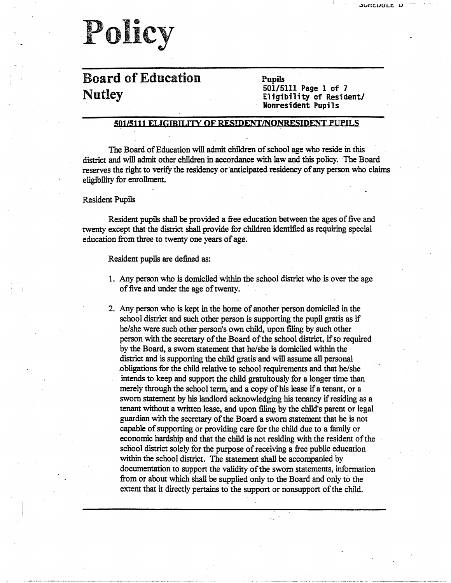

## Board of Education Nutley

Pupils 501/5111 Page 1 of 7 Eligibflity of Resident/ Nonresident Pupils -

#### **501/5111 ELIGIBILITY OF RESIDENT/NONRESIDENT PUPILS**

The Board of Education will admit children of school age who reside in this district and will admit other children in accordance with law and this policy. The Board reserves the right to verify the residency or 'anticipated residency of any person who claims eligibility for enrollment.

#### Resident Pupils

Resident pupils shall be provided a free education between the ages of five and twenty except that the district shall provide for children identified as requiring special education from three to twenty one years of age.

Resident pupils are defined as:

- 1. Any person who is domiciled within the school district who is over the age of five and under the age of twenty.
- 2. Any person who is kept in the home of another person domiciled in the school district and such other person is supporting the pupil gratis as if he/she were such other person's own child, upon filing by such other person with the secretary of the Board of the school district, if so required by the Board, a swam statement that he/she is domiciled within the district and is supporting the child gratis and will assume all personal .obligations for the child relative to school requirements and that he/she intends to keep and support the child gratuitously for a longer time than merely through the school term, and a copy of his lease if a tenant, or a sworn statement by his landlord acknowledging his tenancy if residing as a tenant without a written lease, and upon filing by the child's parent or legal guardian with the secretary of the Board a sworn statement that he is not capable of supporting or providing care for the child due to a family or economic hardship and that the child is not residing with the resident of the school district solely for the purpose of receiving a free public education within the school district. The statement shall be accompanied by documentation to support the validity of the sworn statements, information from or about which shall be supplied only to the Board and only to the extent that it directly pertains to the support or nonsupport of the child.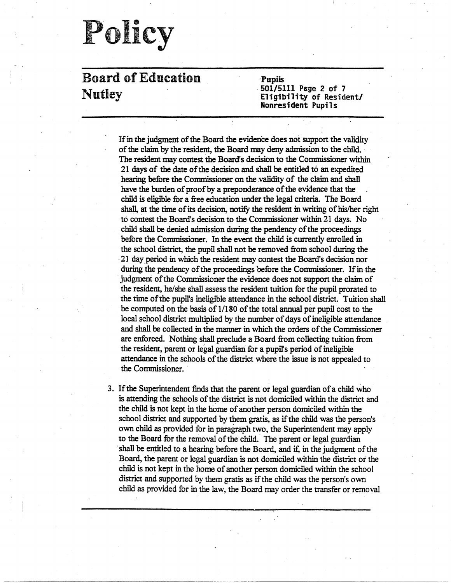## Board of Education Nutley

·Pupils 501/5111 Page 2 of 7 Eligibility of Resident/ **Nonresident Pupi-1 s** 

If in the judgment of the Board the evidence does not support the validity of the claim by the resident, the Board may deny admission to the child. · The resident may contest the Board's decision to the Commissioner within 21 days of the date of the decision and shall be entitled to an expedited hearing before the Commissioner on the validity of the claim and shall have the burden of proof by a preponderance of the evidence that the child is eligi'ble for a free education under the legal criteria. The Board shall, at the time of its decision, notify the resident in writing of his/her right to contest the Board's decision to the Commissioner within 21 days. No child shall be denied admission during the pendency of the proceedings before the Commissioner. In the event the child is currently enrolled in the school district, the pupil shall not be removed from school during the 21 day period in which the resident may contest the Board's decision nor during the pendency of the proceedings before the Commissioner. If in the judgment of the Commissioner the evidence does not support the claim of the resident, he/she shall assess the resident tuition for the pupil prorated to the time of the pupil's ineligible attendance in the school district. Tuition shall be computed on the basis of  $1/180$  of the total annual per pupil cost to the local school district multiplied by the number of days of ineligible attendance \_ and shall be collected in the manner in which the orders of the Commissioner are enforced. Nothing shall preclude a Board from collecting tuition from the resident, parent or legal guardian for a pupil's period of ineligible attendance in the schools of the district where the issue is not appealed to the Commissioner.

3. If the Superintendent finds that the parent or legal guardian of a child who is attending the schools of the district is not domiciled within the district and the child is not kept in the home of another person domiciled within the school district and supported by them gratis, as if the child was the person's own child as provided for in paragraph two, the Superintendent may apply to the Board for the removal of the child. The parent or legal guardian shall be entitled to a hearing before the Board, and if, in the judgment of the Board, the parent or legal guardian is not domiciled within the district or the child is not kept in the home of another person domiciled within the school district and supported by them gratis as if the child was the person's own child as provided for in the law, the Board may order the transfer or removal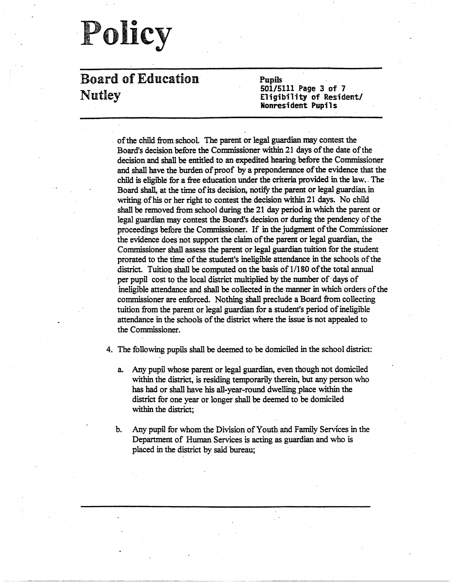## Board of Education Nutley

**Pupils**  501/5111 Page 3 of 7 Eligibility of Resident/ **Nonresident Pupils** 

of the child from school. The parent or legal guardian may contest the Board's decision before the Commissioner within 21 days of the date of the . decision and shall be entitled to an expedited hearing before the Commissioner and shall have the burden of proof by a preponderance of the evidence that the child is eligible for a free education under the criteria provided in the law. The Board shall, at the time of its decision, notify the parent or legal guardian in writing of his or her right to contest the decision within 21-days. No child shall be removed from school during the 21 day period in which the parent or legal guardian may contest the Board's decision or during the pendency of the proceedings before the Commissioner. If in the judgment of the Commissioner the evidence does not support the claim of the parent or legal guardian, the Commissioner shall assess the parent or legal guardian tuition for the student prorated to the time of the student's ineligible attendance in the schools of the district. Tuition shall be computed on the basis of 1/180 of the total annual per pupil cost to the local district multiplied by the number of· days of ineligible attendance and shall be collected in the manner in which orders of the commissioner are enforced. Nothing shall preclude a Board from collecting tuition-from the parent or legal guardian for a student's period of ineligible attendance in the schools of the district where the issue is not appealed to the Commissioner.

4. The following pupils shall be deemed to be domiciled in the school district:

- a. Any pupil whose parent or legal guardian, even though not domiciled within the district, is residing temporarily therein, but any person who has had or shall have his all-year-round dwelling.place within the district for one year or longer shall be deemed io be domiciled within the district;
- b. Any pupil for whom the Division of Youth and Family Services in the Department of Human Services is acting as guardian and who is placed in the district by said bureau;

... ··-----·--··--------------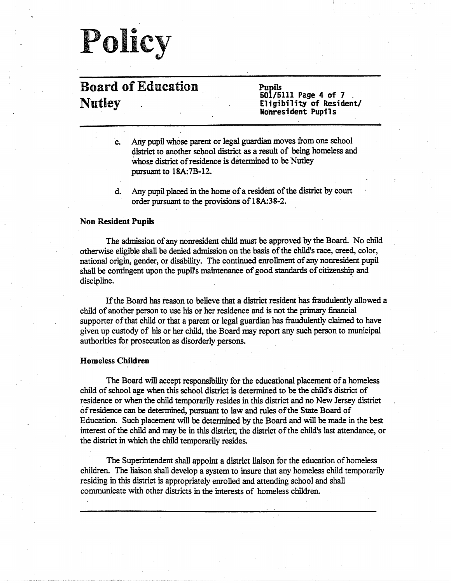## Board of Education . Nutley

**Pupils<br>501/5111 Page 4 of 7 Eligibility of Resident/ Nonresident Pupils** 

- c. Any pupil whose parent or legal guardian moves from one school district to another school district as a result of being homeless and whose district of residence is determined to be Nutley pursuant to 18A:7B-12.
- d. Any pupil placed in the home of a resident of the district by coun order pursuant to the provisions of 1 SA:38-2.

#### **Non Resident Pupils**

The admission-of any nonresident child must be approved by the Board. No child otherwise eligible shall be denied admission on the basis of the child's race, creed, color, national origin, gender, or disability. The continued enrollment of any nonresident pupil shall be contingent upon the pupil's maintenance of good standards of citizenship and discipline.

If the Board has reason to believe that a district resident has fraudulently allowed a · child of another person to use his or her residence and is not the primary financial supporter of that child or that a parent or legal guardian has fraudulently claimed to have given up custody of his or her child, the Board may report any such person to municipal authorities for prosecution as disorderly persons.

#### **Homeless Children**

The Board will accept responsibility for the educational placement of a homeless child of school age when this school district is determined to be the child's district of residence or when the child temporarily resides in this district and no New Jersey district of residence can be determined, pursuant to law and rules of the State Board of Education. Such placement will be determined by the Board and will be made in the best interest of the child and may be in this district, the district of the child's last attendance, or the district in which the child temporarily resides.

The Superintendent shall appoint a district liaison for the education of homeless children. The liaison shall develop a system to insure that any homeless child temporarily residing in this district is appropriately enrolled and attending school and shall communicate with other districts in the interests of homeless children.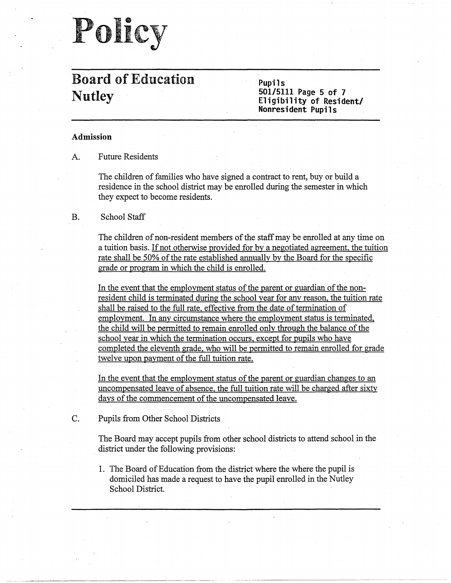## **Board of Education Nutley**

**Pupils 501/5111 Page 5 of 7 Eligibility of Resident/ Nonresident Pupils** 

#### **Admission**

A. Future Residents

The children of families who have signed a contract to rent, buy or build a residence in the school district may be enrolled during the semester in which they expect to become residents.

### B. School Staff

The children of non-resident members of the staff may be enrolled at any time on a tuition basis. If not otherwise provided for by a negotiated agreement, the tuition rate shall be 50% of the rate established annually by the Board for the specific grade or program in which the child is enrolled.

In the event that the employment status of the parent or guardian of the nonresident child is terminated during the school year for any reason, the tuition rate shall be raised to the full rate, effective from the date of termination of employment. In any circumstance where the employment status is terminated, the child will be permitted to remain enrolled only through the balance of the school year in which the termination occurs, except for pupils who have completed the eleventh grade, who will be permitted to remain enrolled for grade twelve upon payment of the full tuition rate.

In the event that the employment status of the parent or guardian changes to an uncompensated leave of absence, the full tuition rate will be charged after sixty days of the commencement of the uncompensated leave.

C. Pupils from Other School Districts

The Board may accept pupils from other school districts to attend school in the district under the following provisions:

1. The Board of Education from the district where the where the pupil is domiciled has made a request to have the pupil enrolled in the Nutley School District.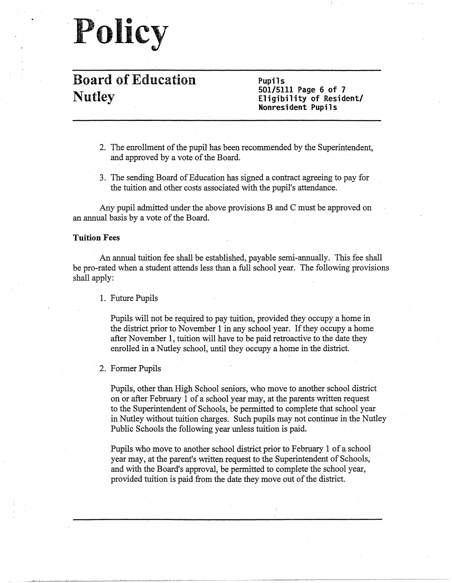## **Board of Education Nutley**

**Pupils 501/5111 Page 6 of 7 Eligibility of Resident/ Nonresident Pupils** 

- 2. The enrollment of the pupil has been recommended by the Superintendent, and approved by a vote of the Board.
- 3. The sending Board of Education has signed a contract agreeing to pay for the tuition and other costs associated with the pupil's attendance.

Any pupil admitted under the above provisions B and C must be approved on an annual basis by a vote of the Board.

### **Tuition Fees**

An annual tuition fee shall be established, payable semi-annually. This fee shall be pro-rated when a student attends less than a full school year. The following provisions shall apply:

I. Future Pupils

Pupils will not be required to pay tuition, provided they occupy a home in the district prior to November I in any school year. If they occupy a home after November I, tuition will have to be paid retroactive to the date they enrolled in a Nutley school, until they occupy a home in the district.

#### 2. Former Pupils

Pupils, other than High School seniors, who move to another school district on or after February I of a school year may, at the parents written request to the Superintendent of Schools, be permitted to complete that school year in Nutley without tuition charges. Such pupils may not continue in the Nutley Public Schools the following year unless tuition is paid.

Pupils who move to another school district prior to February 1 of a school year may, at the parent's written request to the Superintendent of Schools, and with the Board's approval, be permitted to complete the school year, provided tuition is paid from the date they move out of the district.